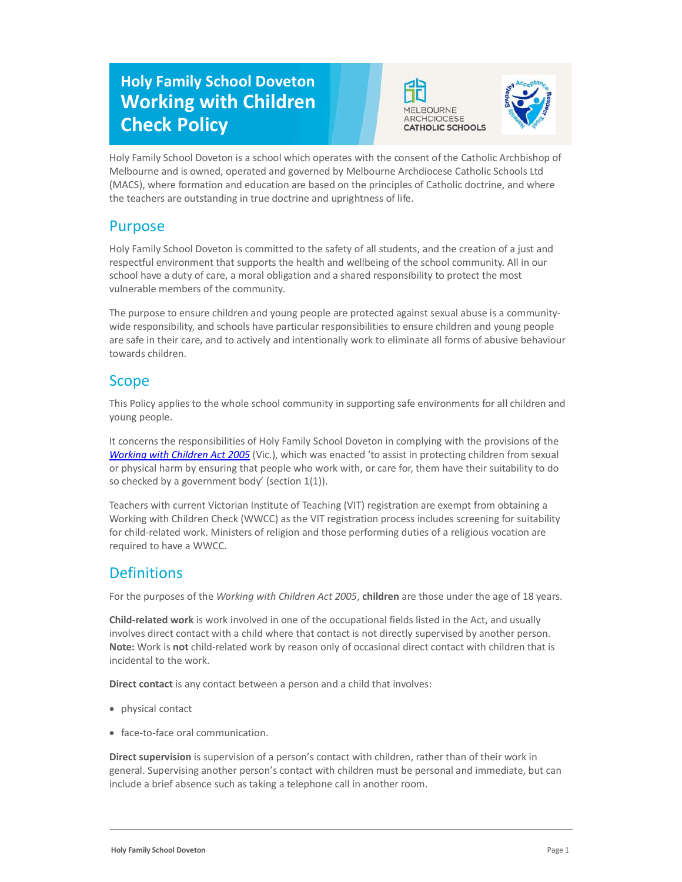# Holy Family School Doveton Working with Children Check Policy





Holy Family School Doveton is a school which operates with the consent of the Catholic Archbishop of Melbourne and is owned, operated and governed by Melbourne Archdiocese Catholic Schools Ltd (MACS), where formation and education are based on the principles of Catholic doctrine, and where the teachers are outstanding in true doctrine and uprightness of life.

### Purpose

Holy Family School Doveton is committed to the safety of all students, and the creation of a just and respectful environment that supports the health and wellbeing of the school community. All in our school have a duty of care, a moral obligation and a shared responsibility to protect the most vulnerable members of the community.

The purpose to ensure children and young people are protected against sexual abuse is a communitywide responsibility, and schools have particular responsibilities to ensure children and young people are safe in their care, and to actively and intentionally work to eliminate all forms of abusive behaviour towards children.

### Scope

This Policy applies to the whole school community in supporting safe environments for all children and young people.

It concerns the responsibilities of Holy Family School Doveton in complying with the provisions of the Working with Children Act 2005 (Vic.), which was enacted 'to assist in protecting children from sexual or physical harm by ensuring that people who work with, or care for, them have their suitability to do so checked by a government body' (section  $1(1)$ ).

Teachers with current Victorian Institute of Teaching (VIT) registration are exempt from obtaining a Working with Children Check (WWCC) as the VIT registration process includes screening for suitability for child-related work. Ministers of religion and those performing duties of a religious vocation are required to have a WWCC.

## **Definitions**

For the purposes of the Working with Children Act 2005, children are those under the age of 18 years.

Child-related work is work involved in one of the occupational fields listed in the Act, and usually involves direct contact with a child where that contact is not directly supervised by another person. Note: Work is not child-related work by reason only of occasional direct contact with children that is incidental to the work.

Direct contact is any contact between a person and a child that involves:

- physical contact
- face-to-face oral communication.

Direct supervision is supervision of a person's contact with children, rather than of their work in general. Supervising another person's contact with children must be personal and immediate, but can include a brief absence such as taking a telephone call in another room.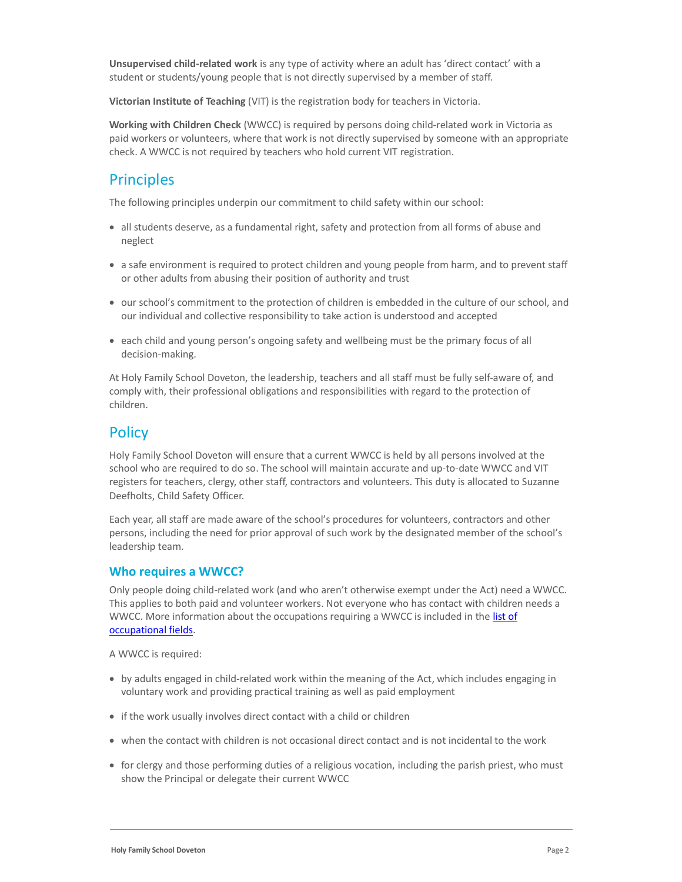Unsupervised child-related work is any type of activity where an adult has 'direct contact' with a student or students/young people that is not directly supervised by a member of staff.

Victorian Institute of Teaching (VIT) is the registration body for teachers in Victoria.

Working with Children Check (WWCC) is required by persons doing child-related work in Victoria as paid workers or volunteers, where that work is not directly supervised by someone with an appropriate check. A WWCC is not required by teachers who hold current VIT registration.

#### **Principles**

The following principles underpin our commitment to child safety within our school:

- all students deserve, as a fundamental right, safety and protection from all forms of abuse and neglect
- a safe environment is required to protect children and young people from harm, and to prevent staff or other adults from abusing their position of authority and trust
- our school's commitment to the protection of children is embedded in the culture of our school, and our individual and collective responsibility to take action is understood and accepted
- each child and young person's ongoing safety and wellbeing must be the primary focus of all decision-making.

At Holy Family School Doveton, the leadership, teachers and all staff must be fully self-aware of, and comply with, their professional obligations and responsibilities with regard to the protection of children.

### **Policy**

Holy Family School Doveton will ensure that a current WWCC is held by all persons involved at the school who are required to do so. The school will maintain accurate and up-to-date WWCC and VIT registers for teachers, clergy, other staff, contractors and volunteers. This duty is allocated to Suzanne Deefholts, Child Safety Officer.

Each year, all staff are made aware of the school's procedures for volunteers, contractors and other persons, including the need for prior approval of such work by the designated member of the school's leadership team.

#### Who requires a WWCC?

Only people doing child-related work (and who aren't otherwise exempt under the Act) need a WWCC. This applies to both paid and volunteer workers. Not everyone who has contact with children needs a WWCC. More information about the occupations requiring a WWCC is included in the list of occupational fields.

A WWCC is required:

- by adults engaged in child-related work within the meaning of the Act, which includes engaging in voluntary work and providing practical training as well as paid employment
- if the work usually involves direct contact with a child or children
- when the contact with children is not occasional direct contact and is not incidental to the work
- for clergy and those performing duties of a religious vocation, including the parish priest, who must show the Principal or delegate their current WWCC